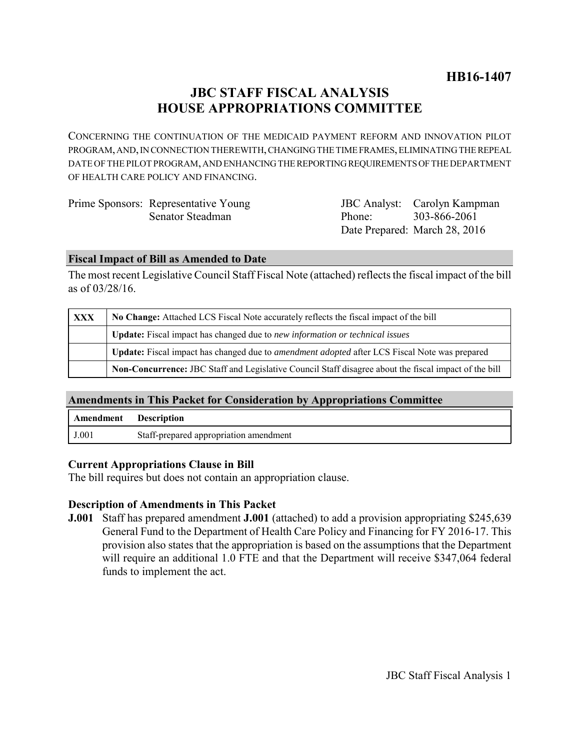# **JBC STAFF FISCAL ANALYSIS HOUSE APPROPRIATIONS COMMITTEE**

CONCERNING THE CONTINUATION OF THE MEDICAID PAYMENT REFORM AND INNOVATION PILOT PROGRAM, AND, IN CONNECTION THEREWITH, CHANGING THE TIME FRAMES, ELIMINATING THE REPEAL DATE OF THE PILOT PROGRAM, AND ENHANCING THE REPORTING REQUIREMENTS OF THE DEPARTMENT OF HEALTH CARE POLICY AND FINANCING.

| Prime Sponsors: Representative Young |
|--------------------------------------|
| Senator Steadman                     |

JBC Analyst: Carolyn Kampman Phone: Date Prepared: March 28, 2016 303-866-2061

#### **Fiscal Impact of Bill as Amended to Date**

The most recent Legislative Council Staff Fiscal Note (attached) reflects the fiscal impact of the bill as of 03/28/16.

| <b>XXX</b> | No Change: Attached LCS Fiscal Note accurately reflects the fiscal impact of the bill                       |  |
|------------|-------------------------------------------------------------------------------------------------------------|--|
|            | <b>Update:</b> Fiscal impact has changed due to new information or technical issues                         |  |
|            | <b>Update:</b> Fiscal impact has changed due to <i>amendment adopted</i> after LCS Fiscal Note was prepared |  |
|            | Non-Concurrence: JBC Staff and Legislative Council Staff disagree about the fiscal impact of the bill       |  |

#### **Amendments in This Packet for Consideration by Appropriations Committee**

| <b>Amendment</b> Description |                                        |  |
|------------------------------|----------------------------------------|--|
| J.001                        | Staff-prepared appropriation amendment |  |

#### **Current Appropriations Clause in Bill**

The bill requires but does not contain an appropriation clause.

#### **Description of Amendments in This Packet**

**J.001** Staff has prepared amendment **J.001** (attached) to add a provision appropriating \$245,639 General Fund to the Department of Health Care Policy and Financing for FY 2016-17. This provision also states that the appropriation is based on the assumptions that the Department will require an additional 1.0 FTE and that the Department will receive \$347,064 federal funds to implement the act.